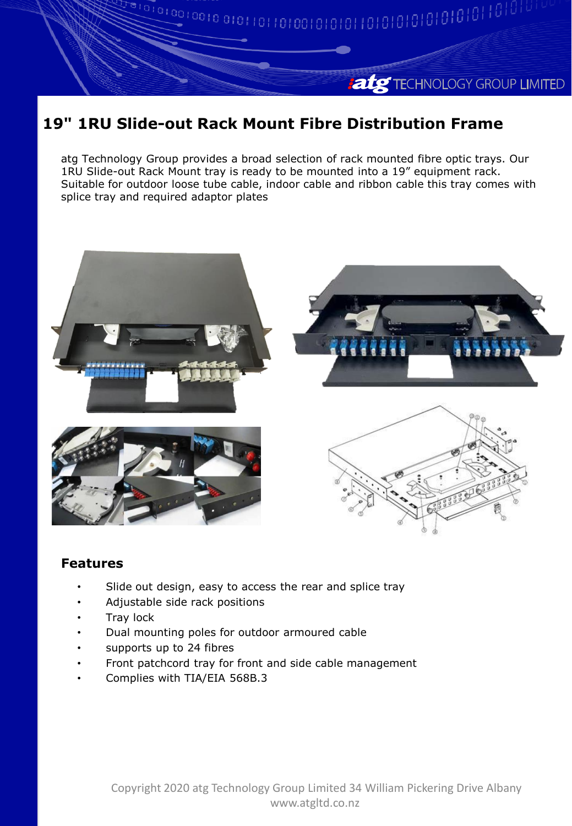## **atg** TECHNOLOGY GROUP LIMITED

## **19" 1RU Slide-out Rack Mount Fibre Distribution Frame**

atg Technology Group provides a broad selection of rack mounted fibre optic trays. Our 1RU Slide-out Rack Mount tray is ready to be mounted into a 19" equipment rack. Suitable for outdoor loose tube cable, indoor cable and ribbon cable this tray comes with splice tray and required adaptor plates



## **Features**

- Slide out design, easy to access the rear and splice tray
- Adjustable side rack positions
- Tray lock
- Dual mounting poles for outdoor armoured cable
- supports up to 24 fibres
- Front patchcord tray for front and side cable management
- Complies with TIA/EIA 568B.3